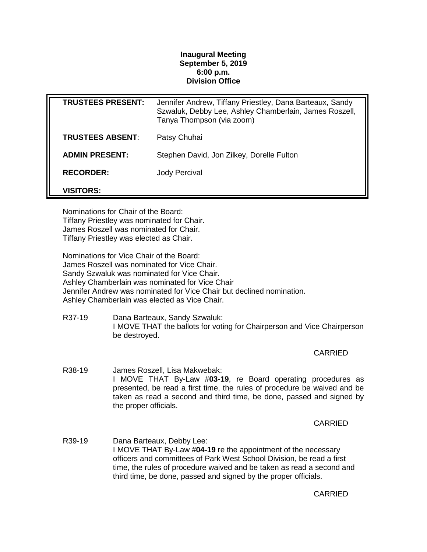## **Inaugural Meeting September 5, 2019 6:00 p.m. Division Office**

| <b>TRUSTEES PRESENT:</b> | Jennifer Andrew, Tiffany Priestley, Dana Barteaux, Sandy<br>Szwaluk, Debby Lee, Ashley Chamberlain, James Roszell,<br>Tanya Thompson (via zoom) |
|--------------------------|-------------------------------------------------------------------------------------------------------------------------------------------------|
| <b>TRUSTEES ABSENT:</b>  | Patsy Chuhai                                                                                                                                    |
| <b>ADMIN PRESENT:</b>    | Stephen David, Jon Zilkey, Dorelle Fulton                                                                                                       |
| <b>RECORDER:</b>         | Jody Percival                                                                                                                                   |
| <b>VISITORS:</b>         |                                                                                                                                                 |

Nominations for Chair of the Board: Tiffany Priestley was nominated for Chair. James Roszell was nominated for Chair. Tiffany Priestley was elected as Chair.

Nominations for Vice Chair of the Board: James Roszell was nominated for Vice Chair. Sandy Szwaluk was nominated for Vice Chair. Ashley Chamberlain was nominated for Vice Chair Jennifer Andrew was nominated for Vice Chair but declined nomination. Ashley Chamberlain was elected as Vice Chair.

R37-19 Dana Barteaux, Sandy Szwaluk: I MOVE THAT the ballots for voting for Chairperson and Vice Chairperson be destroyed.

**CARRIED** 

R38-19 James Roszell, Lisa Makwebak: I MOVE THAT By-Law #**03-19**, re Board operating procedures as presented, be read a first time, the rules of procedure be waived and be taken as read a second and third time, be done, passed and signed by the proper officials.

CARRIED

R39-19 Dana Barteaux, Debby Lee: I MOVE THAT By-Law #**04-19** re the appointment of the necessary officers and committees of Park West School Division, be read a first time, the rules of procedure waived and be taken as read a second and third time, be done, passed and signed by the proper officials.

CARRIED